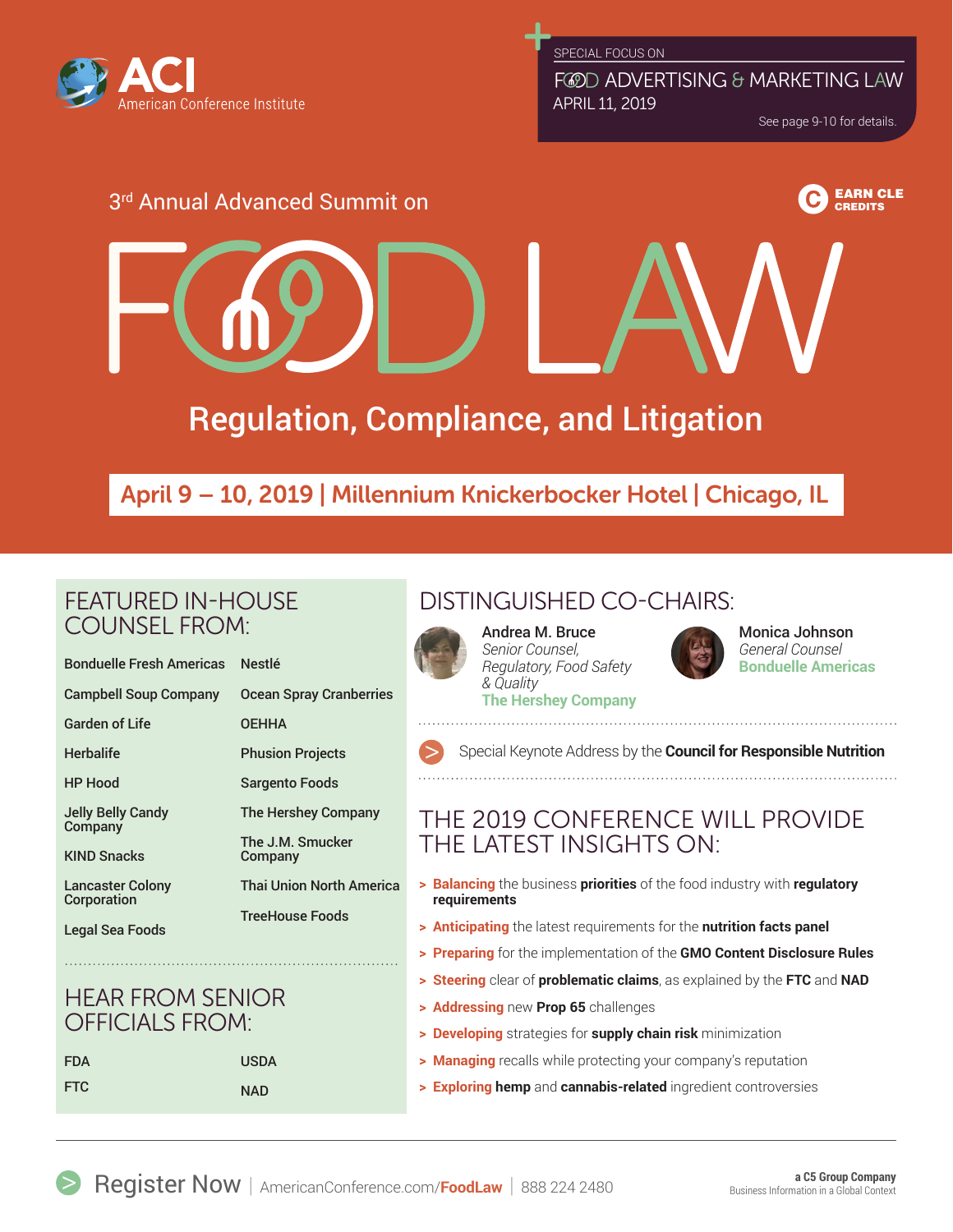

FCOD ADVERTISING & MARKETING LAW APRIL 11, 2019

See page 9-10 for details.

**CREDITS** 

# 3rd Annual Advanced Summit on EARN CLEEN CLEEN CLEEN CLEEN CLEEN CLEEN CLEEN CLEEN CLEEN CLE

# Regulation, Compliance, and Litigation

# April 9 – 10, 2019 | Millennium Knickerbocker Hotel | Chicago, IL

# FEATURED IN-HOUSE COUNSEL FROM:

| <b>Bonduelle Fresh Americas</b> | <b>Nestlé</b>                   |
|---------------------------------|---------------------------------|
| <b>Campbell Soup Company</b>    | <b>Ocean Spray Cranberries</b>  |
| Garden of Life                  | <b>OEHHA</b>                    |
| Herbalife                       | <b>Phusion Projects</b>         |
| HP Hood                         | <b>Sargento Foods</b>           |
| Jelly Belly Candy<br>Company    | The Hershey Company             |
| <b>KIND Snacks</b>              | The J.M. Smucker<br>Company     |
| Lancaster Colony<br>Corporation | <b>Thai Union North America</b> |
| <b>Legal Sea Foods</b>          | <b>TreeHouse Foods</b>          |
|                                 |                                 |

# HEAR FROM SENIOR OFFICIALS FROM:

| <b>FDA</b> | <b>USDA</b> |
|------------|-------------|
| <b>FTC</b> | <b>NAD</b>  |

# DISTINGUISHED CO-CHAIRS:

## Andrea M. Bruce

*Senior Counsel, Regulatory, Food Safety & Quality* **The Hershey Company**



Monica Johnson *General Counsel* **Bonduelle Americas**

Special Keynote Address by the **Council for Responsible Nutrition**

# THE 2019 CONFERENCE WILL PROVIDE THE LATEST INSIGHTS ON:

- **> Balancing** the business **priorities** of the food industry with **regulatory requirements**
- **> Anticipating** the latest requirements for the **nutrition facts panel**
- **> Preparing** for the implementation of the **GMO Content Disclosure Rules**
- **> Steering** clear of **problematic claims**, as explained by the **FTC** and **NAD**
- **> Addressing** new **Prop 65** challenges
- **> Developing** strategies for **supply chain risk** minimization
- **> Managing** recalls while protecting your company's reputation
- **> Exploring hemp** and **cannabis-related** ingredient controversies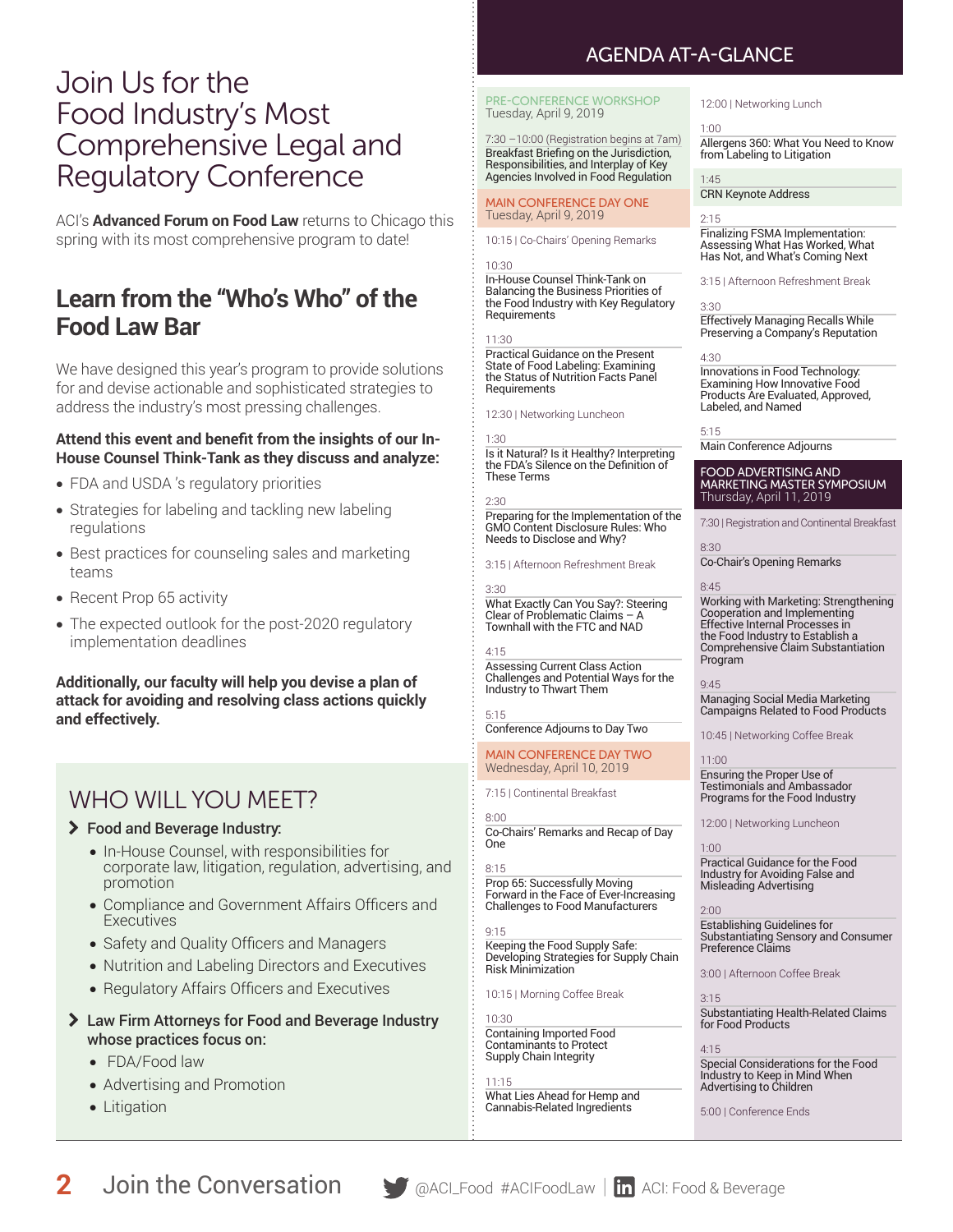# Join Us for the Food Industry's Most Comprehensive Legal and Regulatory Conference

ACI's **Advanced Forum on Food Law** returns to Chicago this spring with its most comprehensive program to date!

# **Learn from the "Who's Who" of the Food Law Bar**

We have designed this year's program to provide solutions for and devise actionable and sophisticated strategies to address the industry's most pressing challenges.

#### **Attend this event and benefit from the insights of our In-House Counsel Think-Tank as they discuss and analyze:**

- FDA and USDA 's regulatory priorities
- Strategies for labeling and tackling new labeling regulations
- Best practices for counseling sales and marketing teams
- Recent Prop 65 activity
- The expected outlook for the post-2020 regulatory implementation deadlines

**Additionally, our faculty will help you devise a plan of attack for avoiding and resolving class actions quickly and effectively.**

# WHO WILL YOU MEET?

#### \ Food and Beverage Industry:

- In-House Counsel, with responsibilities for corporate law, litigation, regulation, advertising, and promotion
- Compliance and Government Affairs Officers and **Executives**
- Safety and Quality Officers and Managers
- Nutrition and Labeling Directors and Executives
- Regulatory Affairs Officers and Executives
- \ Law Firm Attorneys for Food and Beverage Industry whose practices focus on:
	- FDA/Food law
	- Advertising and Promotion
	- Litigation

# AGENDA AT-A-GLANCE

PRE-CONFERENCE WORKSHOP Tuesday, April 9, 2019

7:30 –10:00 (Registration begins at 7am) Breakfast Briefing on the Jurisdiction, Responsibilities, and Interplay of Key Agencies Involved in Food Regulation

MAIN CONFERENCE DAY ONE Tuesday, April 9, 2019

10:15 | Co-Chairs' Opening Remarks

#### 10:30

In-House Counsel Think-Tank on Balancing the Business Priorities of the Food Industry with Key Regulatory **Requirements** 

#### 11:30

Practical Guidance on the Present State of Food Labeling: Examining the Status of Nutrition Facts Panel **Requirements** 

12:30 | Networking Luncheon

#### 1:30

the FDA's Silence on the Definition of These Terms

Preparing for the Implementation of the GMO Content Disclosure Rules: Who

3:30 What Exactly Can You Say?: Steering Clear of Problematic Claims -Townhall with the FTC and NAD

#### 4:15

Assessing Current Class Action Challenges and Potential Ways for the Industry to Thwart Them

5:15 Conference Adjourns to Day Two

#### MAIN CONFERENCE DAY TWO Wednesday, April 10, 2019

7:15 | Continental Breakfast

8:00 Co-Chairs' Remarks and Recap of Day One

#### 8:15 Prop 65: Successfully Moving Forward in the Face of Ever-Increasing Challenges to Food Manufacturers

9:15 Keeping the Food Supply Safe: Developing Strategies for Supply Chain

10:15 | Morning Coffee Break

10:30 Containing Imported Food Contaminants to Protect Supply Chain Integrity

11:15 What Lies Ahead for Hemp and Cannabis-Related Ingredients

#### 12:00 | Networking Lunch

#### 1:00

Allergens 360: What You Need to Know from Labeling to Litigation

#### 1:45

CRN Keynote Address

#### 2:15

Finalizing FSMA Implementation: Assessing What Has Worked, What Has Not, and What's Coming Next

3:15 | Afternoon Refreshment Break

#### 3:30

Effectively Managing Recalls While Preserving a Company's Reputation

#### 4:30

Innovations in Food Technology: Examining How Innovative Food Products Are Evaluated, Approved, Labeled, and Named

#### 5:15

Main Conference Adjourns

#### FOOD ADVERTISING AND MARKETING MASTER SYMPOSIUM Thursday, April 11, 2019

7:30 | Registration and Continental Breakfast

8:30 Co-Chair's Opening Remarks

#### 8:45

Working with Marketing: Strengthening Cooperation and Implementing Effective Internal Processes in the Food Industry to Establish a Comprehensive Claim Substantiation Program

#### 9:45

Managing Social Media Marketing Campaigns Related to Food Products

10:45 | Networking Coffee Break

11:00

Ensuring the Proper Use of Testimonials and Ambassador Programs for the Food Industry

12:00 | Networking Luncheon

#### 1:00

Practical Guidance for the Food Industry for Avoiding False and Misleading Advertising

#### 2:00

Establishing Guidelines for Substantiating Sensory and Consumer Preference Claims

3:00 | Afternoon Coffee Break

3:15 Substantiating Health-Related Claims for Food Products

#### 4:15 Special Considerations for the Food Industry to Keep in Mind When Advertising to Children

5:00 | Conference Ends

Risk Minimization

Is it Natural? Is it Healthy? Interpreting

2:30

Needs to Disclose and Why? 3:15 | Afternoon Refreshment Break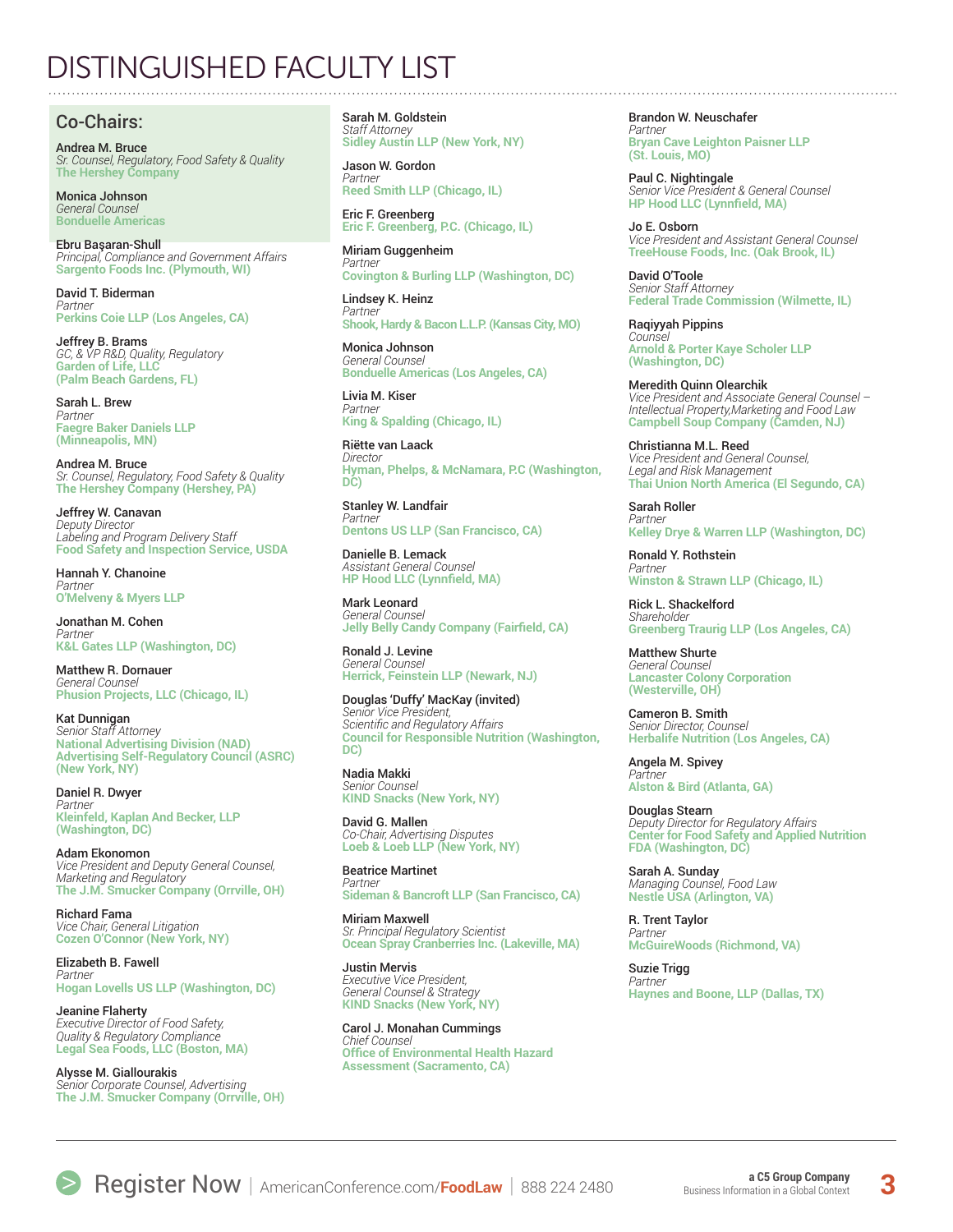# DISTINGUISHED FACULTY LIST

## Co-Chairs:

Andrea M. Bruce *Sr. Counsel, Regulatory, Food Safety & Quality* **The Hershey Company**

Monica Johnson *General Counsel* **Bonduelle Americas**

Ebru Başaran-Shull *Principal, Compliance and Government Affairs* **Sargento Foods Inc. (Plymouth, WI)**

David T. Biderman *Partner* **Perkins Coie LLP (Los Angeles, CA)**

Jeffrey B. Brams *GC, & VP R&D, Quality, Regulatory* **Garden of Life, LLC (Palm Beach Gardens, FL)**

Sarah L. Brew *Partner* **Faegre Baker Daniels LLP (Minneapolis, MN)**

Andrea M. Bruce *Sr. Counsel, Regulatory, Food Safety & Quality* **The Hershey Company (Hershey, PA)**

Jeffrey W. Canavan *Deputy Director Labeling and Program Delivery Staff*  **Food Safety and Inspection Service, USDA**

Hannah Y. Chanoine *Partner* **O'Melveny & Myers LLP**

Jonathan M. Cohen *Partner* **K&L Gates LLP (Washington, DC)**

Matthew R. Dornauer *General Counsel* **Phusion Projects, LLC (Chicago, IL)**

Kat Dunnigan *Senior Staff Attorney* **National Advertising Division (NAD) Advertising Self-Regulatory Council (ASRC) (New York, NY)**

Daniel R. Dwyer *Partner* **Kleinfeld, Kaplan And Becker, LLP (Washington, DC)**

Adam Ekonomon *Vice President and Deputy General Counsel, Marketing and Regulatory* **The J.M. Smucker Company (Orrville, OH)**

Richard Fama *Vice Chair, General Litigation* **Cozen O'Connor (New York, NY)**

Elizabeth B. Fawell *Partner* **Hogan Lovells US LLP (Washington, DC)**

Jeanine Flaherty *Executive Director of Food Safety, Quality & Regulatory Compliance* **Legal Sea Foods, LLC (Boston, MA)**

Alysse M. Giallourakis *Senior Corporate Counsel, Advertising* **The J.M. Smucker Company (Orrville, OH)**

Sarah M. Goldstein *Staff Attorney* **Sidley Austin LLP (New York, NY)**

Jason W. Gordon *Partner* **Reed Smith LLP (Chicago, IL)**

Eric F. Greenberg **Eric F. Greenberg, P.C. (Chicago, IL)**

Miriam Guggenheim *Partner* **Covington & Burling LLP (Washington, DC)**

Lindsey K. Heinz *Partner* **Shook, Hardy & Bacon L.L.P. (Kansas City, MO)**

Monica Johnson *General Counsel* **Bonduelle Americas (Los Angeles, CA)**

Livia M. Kiser *Partner* **King & Spalding (Chicago, IL)**

Riëtte van Laack *Director* **Hyman, Phelps, & McNamara, P.C (Washington, DC)**

Stanley W. Landfair *Partner* **Dentons US LLP (San Francisco, CA)**

Danielle B. Lemack *Assistant General Counsel*  **HP Hood LLC (Lynnfield, MA)**

Mark Leonard *General Counsel* **Jelly Belly Candy Company (Fairfield, CA)**

Ronald J. Levine *General Counsel* **Herrick, Feinstein LLP (Newark, NJ)**

Douglas 'Duffy' MacKay (invited) *Senior Vice President, Scientific and Regulatory Affairs* **Council for Responsible Nutrition (Washington, DC)** 

Nadia Makki *Senior Counsel*  **KIND Snacks (New York, NY)**

David G. Mallen *Co-Chair, Advertising Disputes* **Loeb & Loeb LLP (New York, NY)** 

Beatrice Martinet *Partner* **Sideman & Bancroft LLP (San Francisco, CA)**

Miriam Maxwell *Sr. Principal Regulatory Scientist* **Ocean Spray Cranberries Inc. (Lakeville, MA)**

Justin Mervis *Executive Vice President, General Counsel & Strategy*  **KIND Snacks (New York, NY)**

Carol J. Monahan Cummings *Chief Counsel* **Office of Environmental Health Hazard Assessment (Sacramento, CA)**

Brandon W. Neuschafer *Partner* **Bryan Cave Leighton Paisner LLP (St. Louis, MO)**

Paul C. Nightingale *Senior Vice President & General Counsel* **HP Hood LLC (Lynnfield, MA)**

Jo E. Osborn *Vice President and Assistant General Counsel* **TreeHouse Foods, Inc. (Oak Brook, IL)** 

David O'Toole *Senior Staff Attorney* **Federal Trade Commission (Wilmette, IL)**

Raqiyyah Pippins *Counsel* **Arnold & Porter Kaye Scholer LLP (Washington, DC)**

Meredith Quinn Olearchik *Vice President and Associate General Counsel – Intellectual Property,Marketing and Food Law* **Campbell Soup Company (Camden, NJ)**

Christianna M.L. Reed *Vice President and General Counsel, Legal and Risk Management* **Thai Union North America (El Segundo, CA)** 

Sarah Roller *Partner* **Kelley Drye & Warren LLP (Washington, DC)**

Ronald Y. Rothstein *Partner* **Winston & Strawn LLP (Chicago, IL)**

Rick L. Shackelford *Shareholder* **Greenberg Traurig LLP (Los Angeles, CA)**

Matthew Shurte *General Counsel* **Lancaster Colony Corporation (Westerville, OH)**

Cameron B. Smith *Senior Director, Counsel* **Herbalife Nutrition (Los Angeles, CA)**

Angela M. Spivey *Partner* **Alston & Bird (Atlanta, GA)**

Douglas Stearn *Deputy Director for Regulatory Affairs* **Center for Food Safety and Applied Nutrition FDA (Washington, DC)**

Sarah A. Sunday *Managing Counsel, Food Law* **Nestle USA (Arlington, VA)**

R. Trent Taylor *Partner* **McGuireWoods (Richmond, VA)**

Suzie Trigg *Partner* **Haynes and Boone, LLP (Dallas, TX)**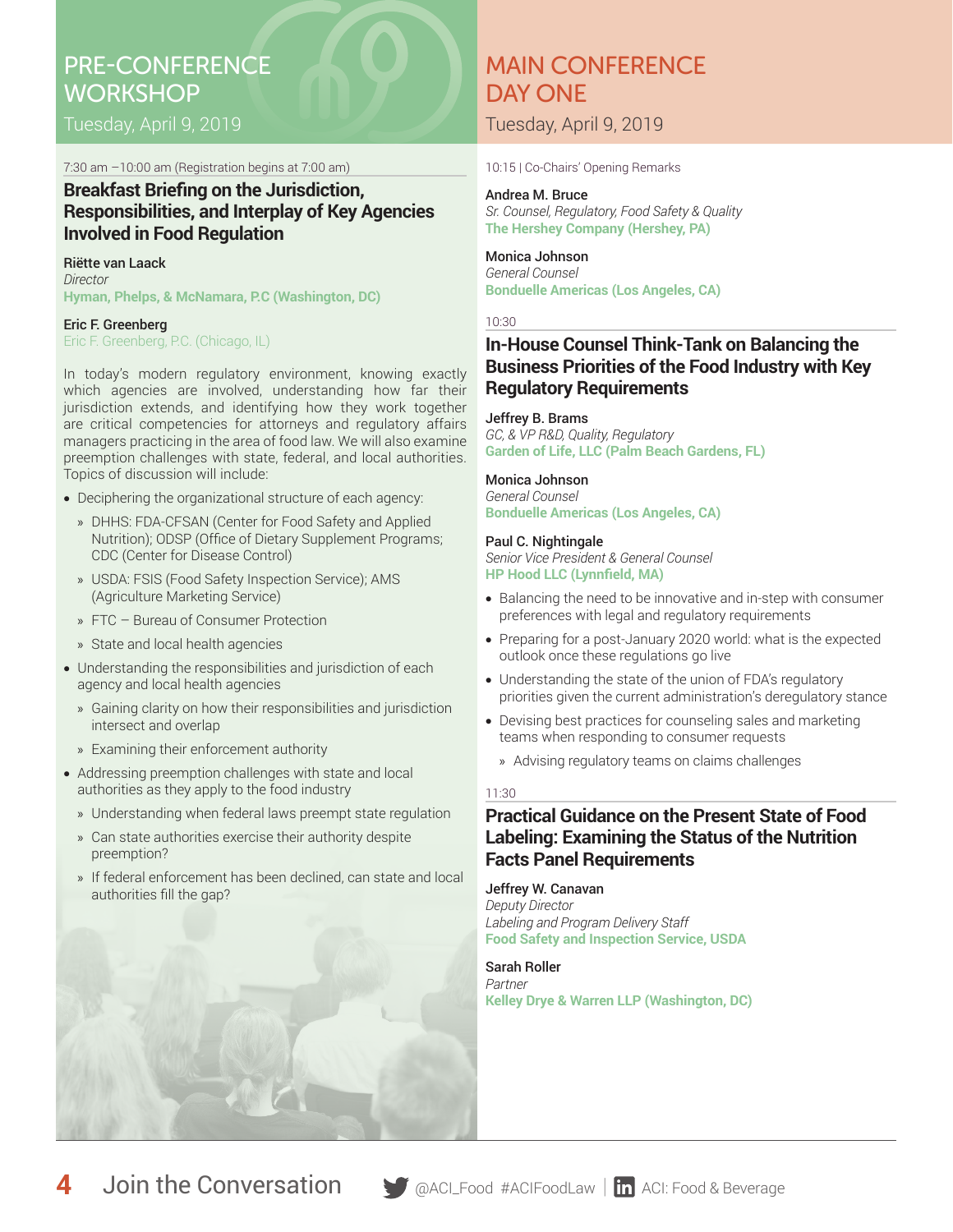# PRE-CONFERENCE **WORKSHOP**

Tuesday, April 9, 2019

7:30 am –10:00 am (Registration begins at 7:00 am)

## **Breakfast Briefing on the Jurisdiction, Responsibilities, and Interplay of Key Agencies Involved in Food Regulation**

#### Riëtte van Laack *Director* **Hyman, Phelps, & McNamara, P.C (Washington, DC)**

Eric F. Greenberg Eric F. Greenberg, P.C. (Chicago, IL)

In today's modern regulatory environment, knowing exactly which agencies are involved, understanding how far their jurisdiction extends, and identifying how they work together are critical competencies for attorneys and regulatory affairs managers practicing in the area of food law. We will also examine preemption challenges with state, federal, and local authorities. Topics of discussion will include:

- Deciphering the organizational structure of each agency:
	- » DHHS: FDA-CFSAN (Center for Food Safety and Applied Nutrition); ODSP (Office of Dietary Supplement Programs; CDC (Center for Disease Control)
	- » USDA: FSIS (Food Safety Inspection Service); AMS (Agriculture Marketing Service)
	- » FTC Bureau of Consumer Protection
	- » State and local health agencies
- Understanding the responsibilities and jurisdiction of each agency and local health agencies
	- » Gaining clarity on how their responsibilities and jurisdiction intersect and overlap
	- » Examining their enforcement authority
- Addressing preemption challenges with state and local authorities as they apply to the food industry
	- » Understanding when federal laws preempt state regulation
	- » Can state authorities exercise their authority despite preemption?
	- » If federal enforcement has been declined, can state and local authorities fill the gap?

# MAIN CONFERENCE DAY ONE

Tuesday, April 9, 2019

10:15 | Co-Chairs' Opening Remarks

#### Andrea M. Bruce

*Sr. Counsel, Regulatory, Food Safety & Quality* **The Hershey Company (Hershey, PA)**

# Monica Johnson

*General Counsel* **Bonduelle Americas (Los Angeles, CA)**

### 10:30

## **In-House Counsel Think-Tank on Balancing the Business Priorities of the Food Industry with Key Regulatory Requirements**

### Jeffrey B. Brams

*GC, & VP R&D, Quality, Regulatory* **Garden of Life, LLC (Palm Beach Gardens, FL)**

### Monica Johnson

*General Counsel* **Bonduelle Americas (Los Angeles, CA)**

### Paul C. Nightingale

*Senior Vice President & General Counsel* **HP Hood LLC (Lynnfield, MA)**

- Balancing the need to be innovative and in-step with consumer preferences with legal and regulatory requirements
- Preparing for a post-January 2020 world: what is the expected outlook once these regulations go live
- Understanding the state of the union of FDA's regulatory priorities given the current administration's deregulatory stance
- Devising best practices for counseling sales and marketing teams when responding to consumer requests
	- » Advising regulatory teams on claims challenges

## 11:30

## **Practical Guidance on the Present State of Food Labeling: Examining the Status of the Nutrition Facts Panel Requirements**

## Jeffrey W. Canavan

*Deputy Director Labeling and Program Delivery Staff*  **Food Safety and Inspection Service, USDA**

### Sarah Roller

*Partner* **Kelley Drye & Warren LLP (Washington, DC)**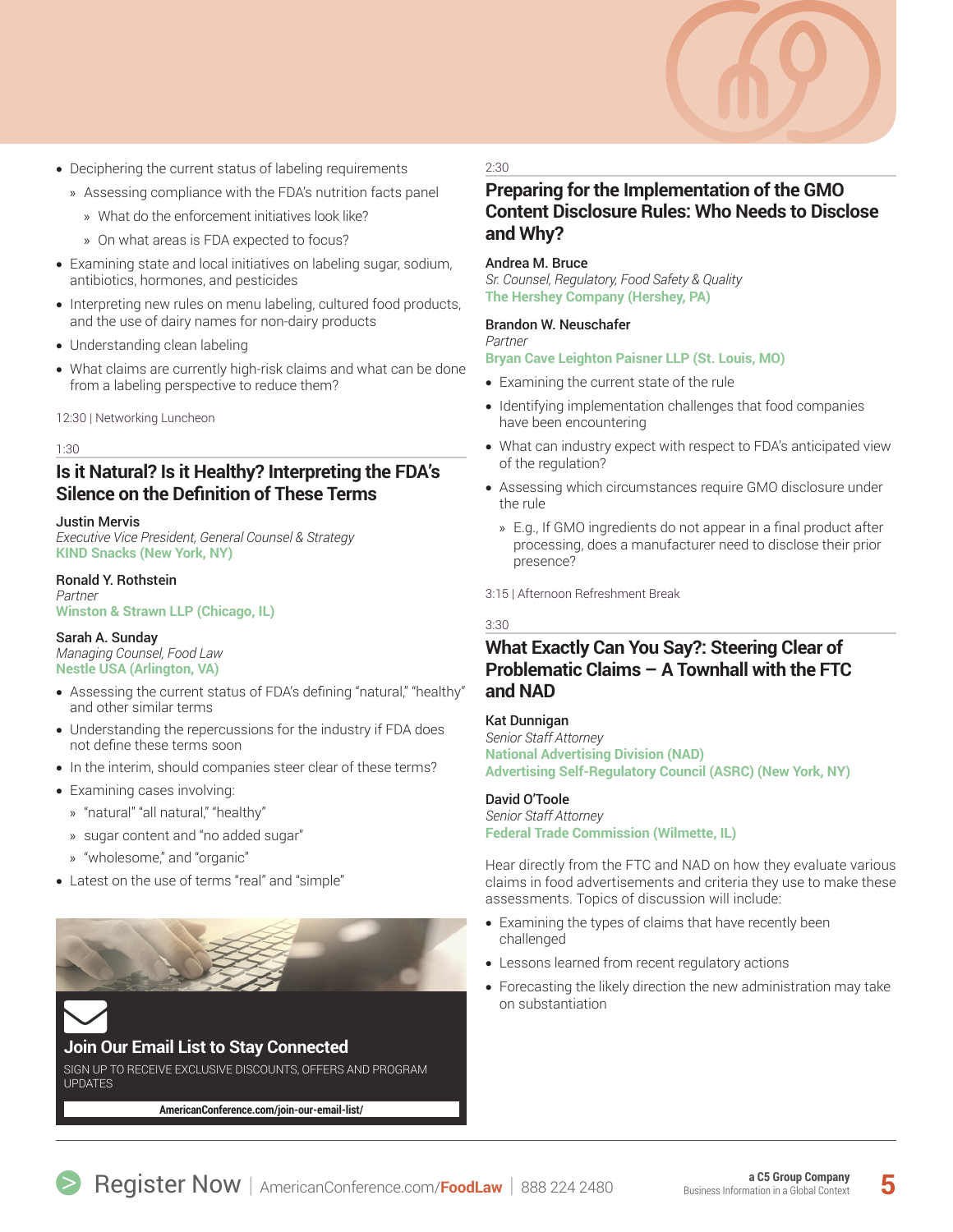

- Deciphering the current status of labeling requirements
	- » Assessing compliance with the FDA's nutrition facts panel
		- » What do the enforcement initiatives look like?
		- » On what areas is FDA expected to focus?
- Examining state and local initiatives on labeling sugar, sodium, antibiotics, hormones, and pesticides
- Interpreting new rules on menu labeling, cultured food products, and the use of dairy names for non-dairy products
- Understanding clean labeling
- What claims are currently high-risk claims and what can be done from a labeling perspective to reduce them?

12:30 | Networking Luncheon

#### 1:30

## **Is it Natural? Is it Healthy? Interpreting the FDA's Silence on the Definition of These Terms**

#### Justin Mervis

*Executive Vice President, General Counsel & Strategy*  **KIND Snacks (New York, NY)**

#### Ronald Y. Rothstein

*Partner* **Winston & Strawn LLP (Chicago, IL)**

#### Sarah A. Sunday

*Managing Counsel, Food Law* **Nestle USA (Arlington, VA)**

- Assessing the current status of FDA's defining "natural," "healthy" and other similar terms
- Understanding the repercussions for the industry if FDA does not define these terms soon
- In the interim, should companies steer clear of these terms?
- Examining cases involving:
- » "natural" "all natural," "healthy"
- » sugar content and "no added sugar"
- » "wholesome," and "organic"
- Latest on the use of terms "real" and "simple"



# **Join Our Email List to Stay Connected**

SIGN UP TO RECEIVE EXCLUSIVE DISCOUNTS, OFFERS AND PROGRAM UPDATES

**[AmericanConference.com/join-our-email-list/](http://www.AmericanConference.com/join-our-email-list/)**

#### 2:30

## **Preparing for the Implementation of the GMO Content Disclosure Rules: Who Needs to Disclose and Why?**

#### Andrea M. Bruce

*Sr. Counsel, Regulatory, Food Safety & Quality* **The Hershey Company (Hershey, PA)**

#### Brandon W. Neuschafer

*Partner* **Bryan Cave Leighton Paisner LLP (St. Louis, MO)**

- Examining the current state of the rule
- Identifying implementation challenges that food companies have been encountering
- What can industry expect with respect to FDA's anticipated view of the regulation?
- Assessing which circumstances require GMO disclosure under the rule
	- » E.g., If GMO ingredients do not appear in a final product after processing, does a manufacturer need to disclose their prior presence?

#### 3:15 | Afternoon Refreshment Break

#### 3:30

## **What Exactly Can You Say?: Steering Clear of Problematic Claims – A Townhall with the FTC and NAD**

#### Kat Dunnigan

*Senior Staff Attorney* **National Advertising Division (NAD) Advertising Self-Regulatory Council (ASRC) (New York, NY)**

#### David O'Toole

*Senior Staff Attorney* **Federal Trade Commission (Wilmette, IL)**

Hear directly from the FTC and NAD on how they evaluate various claims in food advertisements and criteria they use to make these assessments. Topics of discussion will include:

- Examining the types of claims that have recently been challenged
- Lessons learned from recent regulatory actions
- Forecasting the likely direction the new administration may take **on** substantiation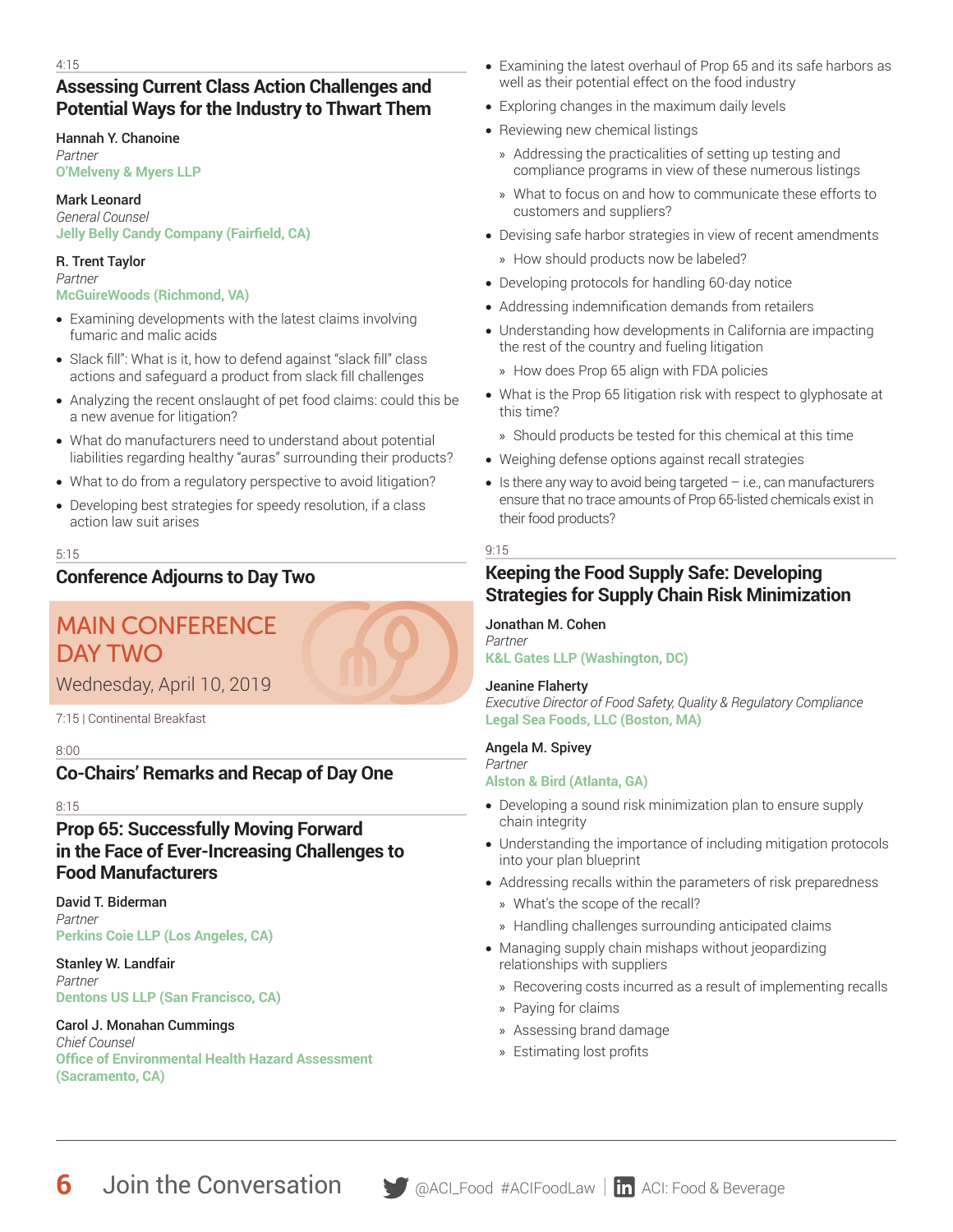## **Assessing Current Class Action Challenges and Potential Ways for the Industry to Thwart Them**

## Hannah Y. Chanoine

*Partner* **O'Melveny & Myers LLP**

### Mark Leonard

*General Counsel* **Jelly Belly Candy Company (Fairfield, CA)**

## R. Trent Taylor

*Partner* **McGuireWoods (Richmond, VA)**

- Examining developments with the latest claims involving fumaric and malic acids
- Slack fill": What is it, how to defend against "slack fill" class actions and safeguard a product from slack fill challenges
- Analyzing the recent onslaught of pet food claims: could this be a new avenue for litigation?
- What do manufacturers need to understand about potential liabilities regarding healthy "auras" surrounding their products?
- What to do from a regulatory perspective to avoid litigation?
- Developing best strategies for speedy resolution, if a class action law suit arises

### 5:15

# **Conference Adjourns to Day Two**

# MAIN CONFERENCE DAY TWO

Wednesday, April 10, 2019

7:15 | Continental Breakfast

#### 8:00

# **Co-Chairs' Remarks and Recap of Day One**

8:15

## **Prop 65: Successfully Moving Forward in the Face of Ever-Increasing Challenges to Food Manufacturers**

David T. Biderman *Partner* **Perkins Coie LLP (Los Angeles, CA)**

Stanley W. Landfair *Partner* **Dentons US LLP (San Francisco, CA)**

#### Carol J. Monahan Cummings *Chief Counsel* **Office of Environmental Health Hazard Assessment (Sacramento, CA)**

- Examining the latest overhaul of Prop 65 and its safe harbors as well as their potential effect on the food industry
- Exploring changes in the maximum daily levels
- Reviewing new chemical listings
	- » Addressing the practicalities of setting up testing and compliance programs in view of these numerous listings
	- » What to focus on and how to communicate these efforts to customers and suppliers?
- Devising safe harbor strategies in view of recent amendments
	- » How should products now be labeled?
- Developing protocols for handling 60-day notice
- Addressing indemnification demands from retailers
- Understanding how developments in California are impacting the rest of the country and fueling litigation
	- » How does Prop 65 align with FDA policies
- What is the Prop 65 litigation risk with respect to glyphosate at this time?
- » Should products be tested for this chemical at this time
- Weighing defense options against recall strategies
- $\bullet$  Is there any way to avoid being targeted  $-$  i.e., can manufacturers ensure that no trace amounts of Prop 65-listed chemicals exist in their food products?

### 9:15

# **Keeping the Food Supply Safe: Developing Strategies for Supply Chain Risk Minimization**

#### Jonathan M. Cohen *Partner*

**K&L Gates LLP (Washington, DC)**

## Jeanine Flaherty

*Executive Director of Food Safety, Quality & Regulatory Compliance* **Legal Sea Foods, LLC (Boston, MA)**

## Angela M. Spivey

#### *Partner* **Alston & Bird (Atlanta, GA)**

- Developing a sound risk minimization plan to ensure supply chain integrity
- Understanding the importance of including mitigation protocols into your plan blueprint
- Addressing recalls within the parameters of risk preparedness
	- » What's the scope of the recall?
	- » Handling challenges surrounding anticipated claims
- Managing supply chain mishaps without jeopardizing relationships with suppliers
	- » Recovering costs incurred as a result of implementing recalls
	- » Paying for claims
	- » Assessing brand damage
	- » Estimating lost profits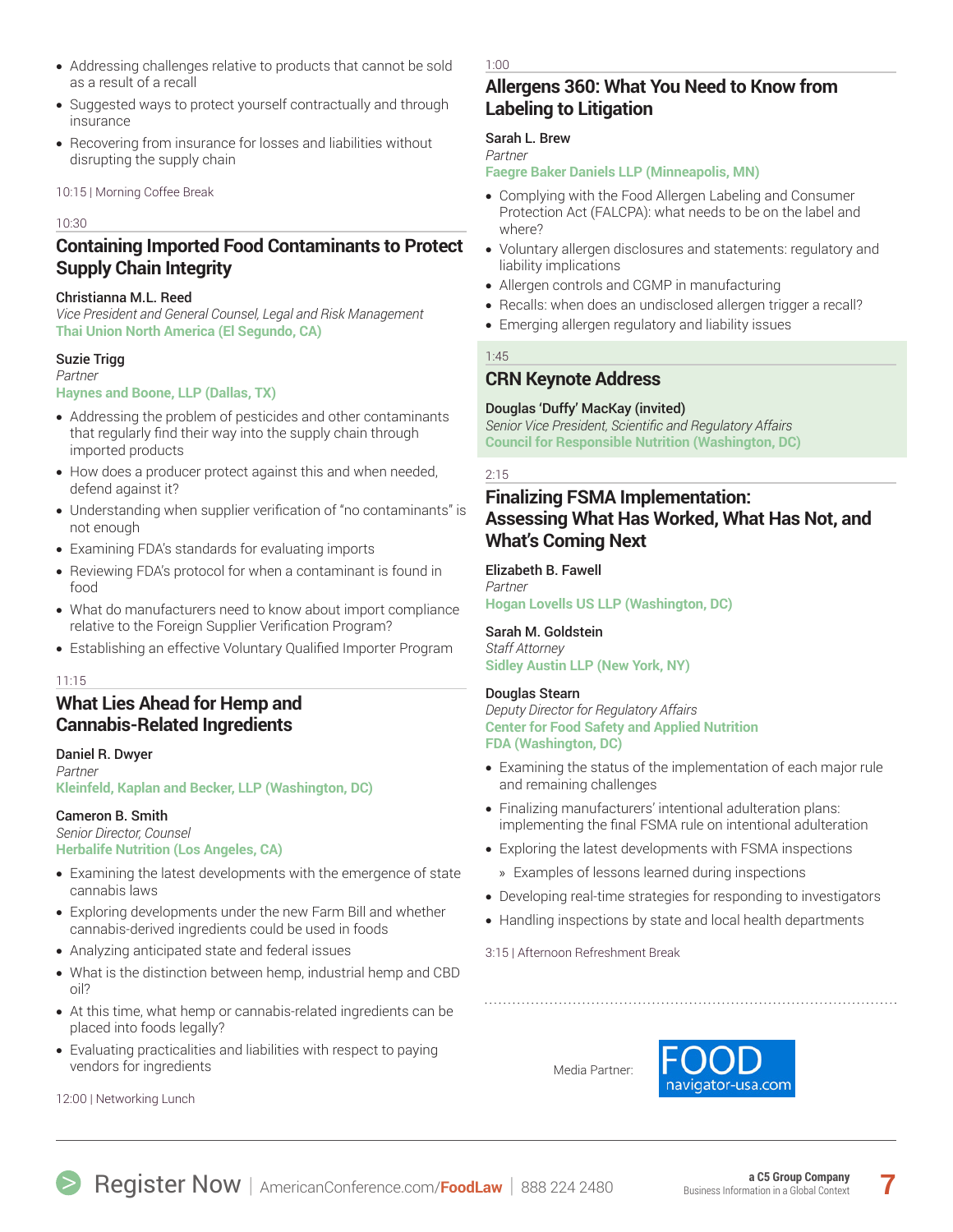- Addressing challenges relative to products that cannot be sold as a result of a recall
- Suggested ways to protect yourself contractually and through insurance
- Recovering from insurance for losses and liabilities without disrupting the supply chain

#### 10:15 | Morning Coffee Break

#### 10:30

## **Containing Imported Food Contaminants to Protect Supply Chain Integrity**

#### Christianna M.L. Reed

*Vice President and General Counsel, Legal and Risk Management* **Thai Union North America (El Segundo, CA)** 

#### Suzie Trigg

### *Partner*

#### **Haynes and Boone, LLP (Dallas, TX)**

- Addressing the problem of pesticides and other contaminants that regularly find their way into the supply chain through imported products
- How does a producer protect against this and when needed, defend against it?
- Understanding when supplier verification of "no contaminants" is not enough
- Examining FDA's standards for evaluating imports
- Reviewing FDA's protocol for when a contaminant is found in food
- What do manufacturers need to know about import compliance relative to the Foreign Supplier Verification Program?
- Establishing an effective Voluntary Qualified Importer Program

#### 11:15

## **What Lies Ahead for Hemp and Cannabis-Related Ingredients**

#### Daniel R. Dwyer

*Partner* **Kleinfeld, Kaplan and Becker, LLP (Washington, DC)**

#### Cameron B. Smith

*Senior Director, Counsel* **Herbalife Nutrition (Los Angeles, CA)**

- Examining the latest developments with the emergence of state cannabis laws
- Exploring developments under the new Farm Bill and whether cannabis-derived ingredients could be used in foods
- Analyzing anticipated state and federal issues
- What is the distinction between hemp, industrial hemp and CBD oil?
- At this time, what hemp or cannabis-related ingredients can be placed into foods legally?
- Evaluating practicalities and liabilities with respect to paying vendors for ingredients

12:00 | Networking Lunch

1:00

## **Allergens 360: What You Need to Know from Labeling to Litigation**

#### Sarah L. Brew

*Partner*

#### **Faegre Baker Daniels LLP (Minneapolis, MN)**

- Complying with the Food Allergen Labeling and Consumer Protection Act (FALCPA): what needs to be on the label and where?
- Voluntary allergen disclosures and statements: regulatory and liability implications
- Allergen controls and CGMP in manufacturing
- Recalls: when does an undisclosed allergen trigger a recall?
- Emerging allergen regulatory and liability issues

### 1:45

## **CRN Keynote Address**

### Douglas 'Duffy' MacKay (invited)

*Senior Vice President, Scientific and Regulatory Affairs* **Council for Responsible Nutrition (Washington, DC)** 

#### 2:15

## **Finalizing FSMA Implementation: Assessing What Has Worked, What Has Not, and What's Coming Next**

#### Elizabeth B. Fawell

*Partner* **Hogan Lovells US LLP (Washington, DC)**

## Sarah M. Goldstein

*Staff Attorney* **Sidley Austin LLP (New York, NY)**

#### Douglas Stearn

*Deputy Director for Regulatory Affairs* **Center for Food Safety and Applied Nutrition FDA (Washington, DC)**

- Examining the status of the implementation of each major rule and remaining challenges
- Finalizing manufacturers' intentional adulteration plans: implementing the final FSMA rule on intentional adulteration
- Exploring the latest developments with FSMA inspections
- » Examples of lessons learned during inspections
- Developing real-time strategies for responding to investigators
- Handling inspections by state and local health departments
- 3:15 | Afternoon Refreshment Break

Media Partner:

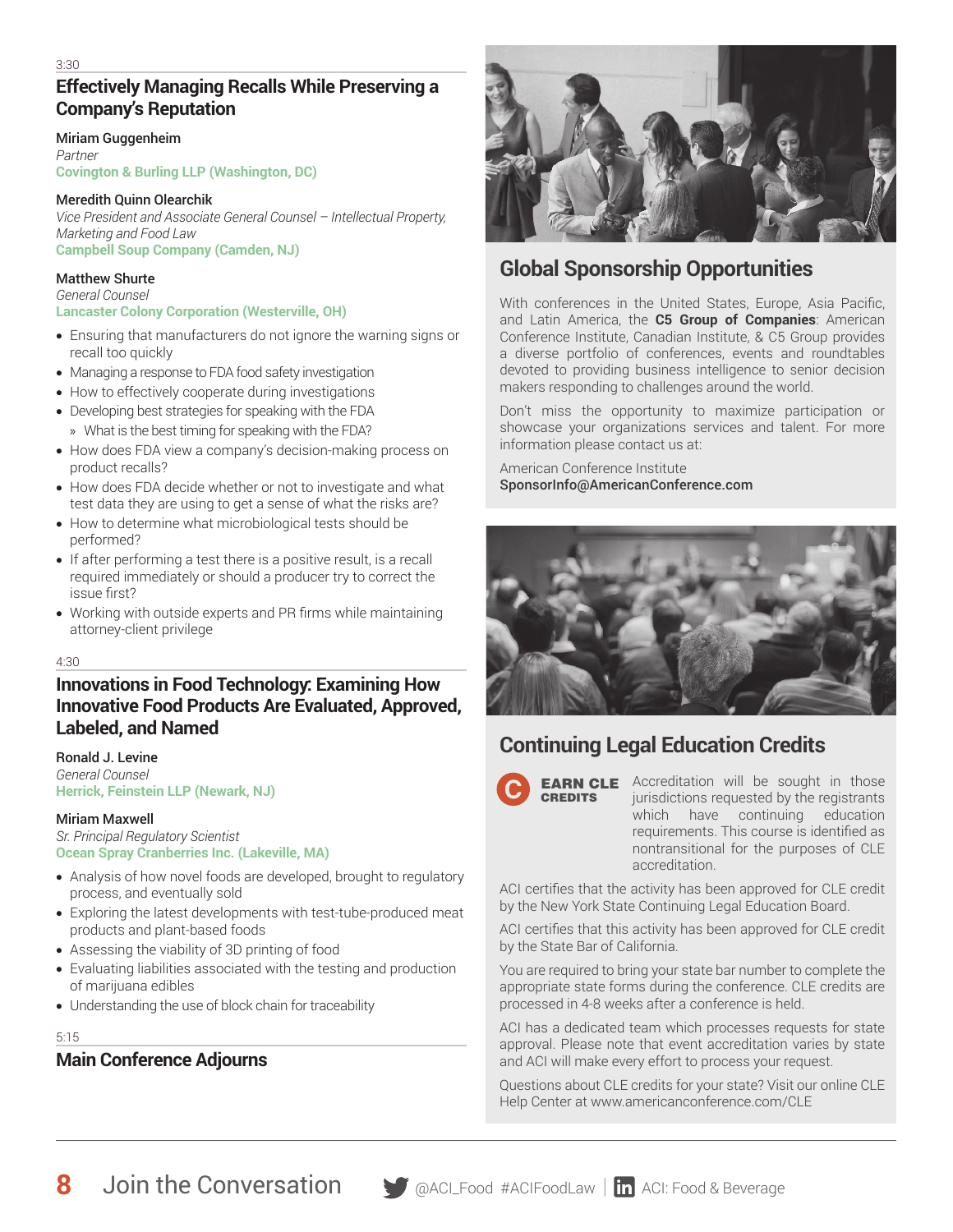# **Effectively Managing Recalls While Preserving a Company's Reputation**

#### Miriam Guggenheim

*Partner* **Covington & Burling LLP (Washington, DC)**

#### Meredith Quinn Olearchik

*Vice President and Associate General Counsel – Intellectual Property, Marketing and Food Law* **Campbell Soup Company (Camden, NJ)**

### Matthew Shurte

*General Counsel* **Lancaster Colony Corporation (Westerville, OH)**

- Ensuring that manufacturers do not ignore the warning signs or recall too quickly
- Managing a response to FDA food safety investigation
- How to effectively cooperate during investigations
- Developing best strategies for speaking with the FDA » What is the best timing for speaking with the FDA?
- How does FDA view a company's decision-making process on product recalls?
- How does FDA decide whether or not to investigate and what test data they are using to get a sense of what the risks are?
- How to determine what microbiological tests should be performed?
- If after performing a test there is a positive result, is a recall required immediately or should a producer try to correct the issue first?
- Working with outside experts and PR firms while maintaining attorney-client privilege

#### 4:30

## **Innovations in Food Technology: Examining How Innovative Food Products Are Evaluated, Approved, Labeled, and Named**

#### Ronald J. Levine *General Counsel*

**Herrick, Feinstein LLP (Newark, NJ)**

## Miriam Maxwell

*Sr. Principal Regulatory Scientist* **Ocean Spray Cranberries Inc. (Lakeville, MA)** 

- Analysis of how novel foods are developed, brought to regulatory process, and eventually sold
- Exploring the latest developments with test-tube-produced meat products and plant-based foods
- Assessing the viability of 3D printing of food
- Evaluating liabilities associated with the testing and production of marijuana edibles
- Understanding the use of block chain for traceability

#### 5:15

# **Main Conference Adjourns**



# **Global Sponsorship Opportunities**

With conferences in the United States, Europe, Asia Pacific, and Latin America, the **C5 Group of Companies**: American Conference Institute, Canadian Institute, & C5 Group provides a diverse portfolio of conferences, events and roundtables devoted to providing business intelligence to senior decision makers responding to challenges around the world.

Don't miss the opportunity to maximize participation or showcase your organizations services and talent. For more information please contact us at:

American Conference Institute SponsorInfo@AmericanConference.com



# **Continuing Legal Education Credits**



**EARN CLE** Accreditation will be sought in those jurisdictions requested by the registrants which have continuing education requirements. This course is identified as nontransitional for the purposes of CLE accreditation.

ACI certifies that the activity has been approved for CLE credit by the New York State Continuing Legal Education Board.

ACI certifies that this activity has been approved for CLE credit by the State Bar of California.

You are required to bring your state bar number to complete the appropriate state forms during the conference. CLE credits are processed in 4-8 weeks after a conference is held.

ACI has a dedicated team which processes requests for state approval. Please note that event accreditation varies by state and ACI will make every effort to process your request.

Questions about CLE credits for your state? Visit our online CLE Help Center at www.americanconference.com/CLE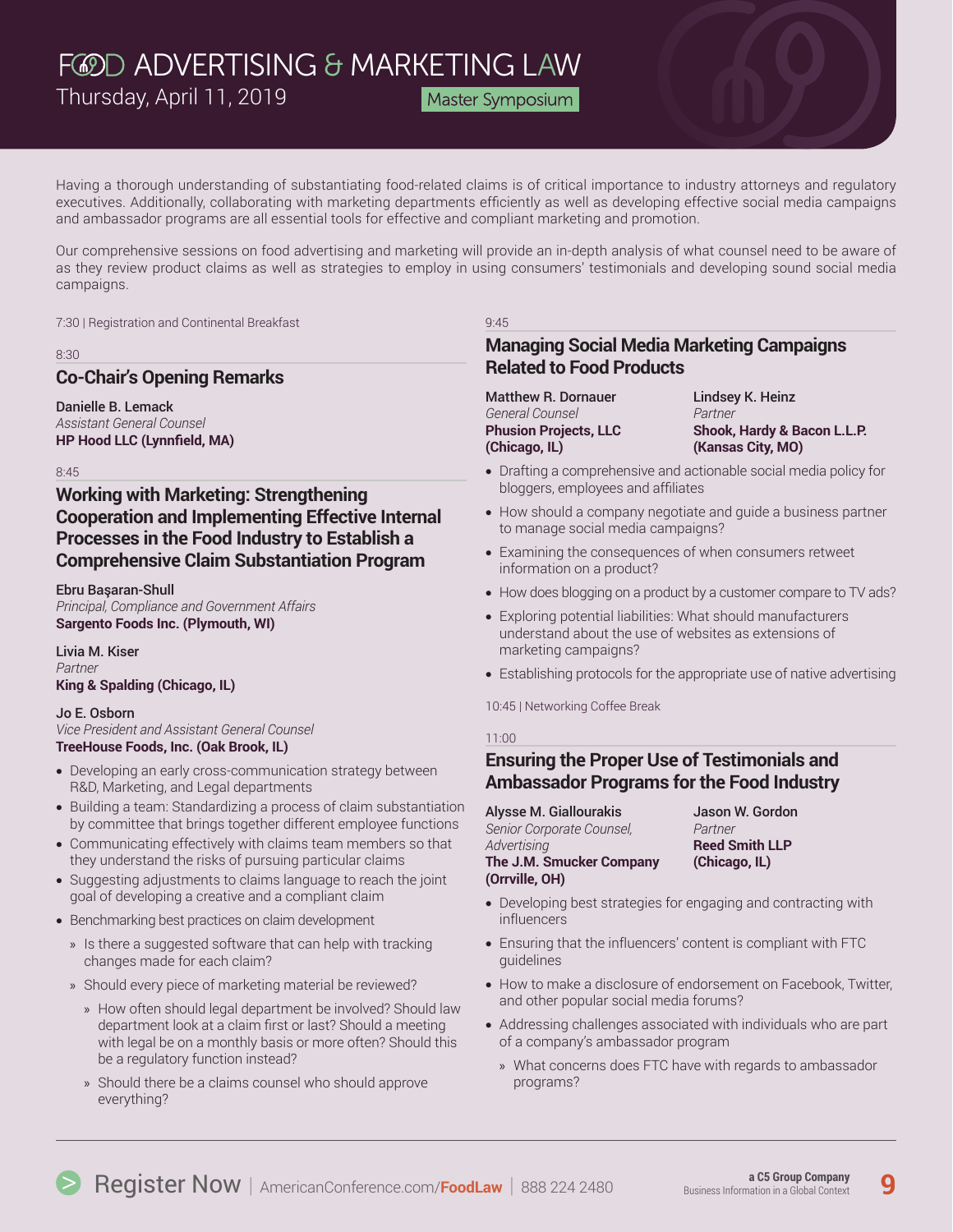Master Symposium

Having a thorough understanding of substantiating food-related claims is of critical importance to industry attorneys and regulatory executives. Additionally, collaborating with marketing departments efficiently as well as developing effective social media campaigns and ambassador programs are all essential tools for effective and compliant marketing and promotion.

Our comprehensive sessions on food advertising and marketing will provide an in-depth analysis of what counsel need to be aware of as they review product claims as well as strategies to employ in using consumers' testimonials and developing sound social media campaigns.

7:30 | Registration and Continental Breakfast

#### 8:30

## **Co-Chair's Opening Remarks**

Danielle B. Lemack *Assistant General Counsel*  **HP Hood LLC (Lynnfield, MA)**

8:45

## **Working with Marketing: Strengthening Cooperation and Implementing Effective Internal Processes in the Food Industry to Establish a Comprehensive Claim Substantiation Program**

Ebru Başaran-Shull *Principal, Compliance and Government Affairs* **Sargento Foods Inc. (Plymouth, WI)**

Livia M. Kiser *Partner* **King & Spalding (Chicago, IL)**

#### Jo E. Osborn

*Vice President and Assistant General Counsel* **TreeHouse Foods, Inc. (Oak Brook, IL)** 

- Developing an early cross-communication strategy between R&D, Marketing, and Legal departments
- Building a team: Standardizing a process of claim substantiation by committee that brings together different employee functions
- Communicating effectively with claims team members so that they understand the risks of pursuing particular claims
- Suggesting adjustments to claims language to reach the joint goal of developing a creative and a compliant claim
- Benchmarking best practices on claim development
	- » Is there a suggested software that can help with tracking changes made for each claim?
	- » Should every piece of marketing material be reviewed?
		- » How often should legal department be involved? Should law department look at a claim first or last? Should a meeting with legal be on a monthly basis or more often? Should this be a regulatory function instead?
		- » Should there be a claims counsel who should approve everything?

#### 9:45

## **Managing Social Media Marketing Campaigns Related to Food Products**

Matthew R. Dornauer *General Counsel* **Phusion Projects, LLC (Chicago, IL)**

Lindsey K. Heinz *Partner* **Shook, Hardy & Bacon L.L.P. (Kansas City, MO)**

- Drafting a comprehensive and actionable social media policy for bloggers, employees and affiliates
- How should a company negotiate and guide a business partner to manage social media campaigns?
- Examining the consequences of when consumers retweet information on a product?
- How does blogging on a product by a customer compare to TV ads?
- Exploring potential liabilities: What should manufacturers understand about the use of websites as extensions of marketing campaigns?
- Establishing protocols for the appropriate use of native advertising

10:45 | Networking Coffee Break

#### 11:00

## **Ensuring the Proper Use of Testimonials and Ambassador Programs for the Food Industry**

Alysse M. Giallourakis *Senior Corporate Counsel, Advertising* **The J.M. Smucker Company (Orrville, OH)**

Jason W. Gordon *Partner* **Reed Smith LLP (Chicago, IL)**

- Developing best strategies for engaging and contracting with influencers
- Ensuring that the influencers' content is compliant with FTC guidelines
- How to make a disclosure of endorsement on Facebook, Twitter, and other popular social media forums?
- Addressing challenges associated with individuals who are part of a company's ambassador program
	- » What concerns does FTC have with regards to ambassador programs?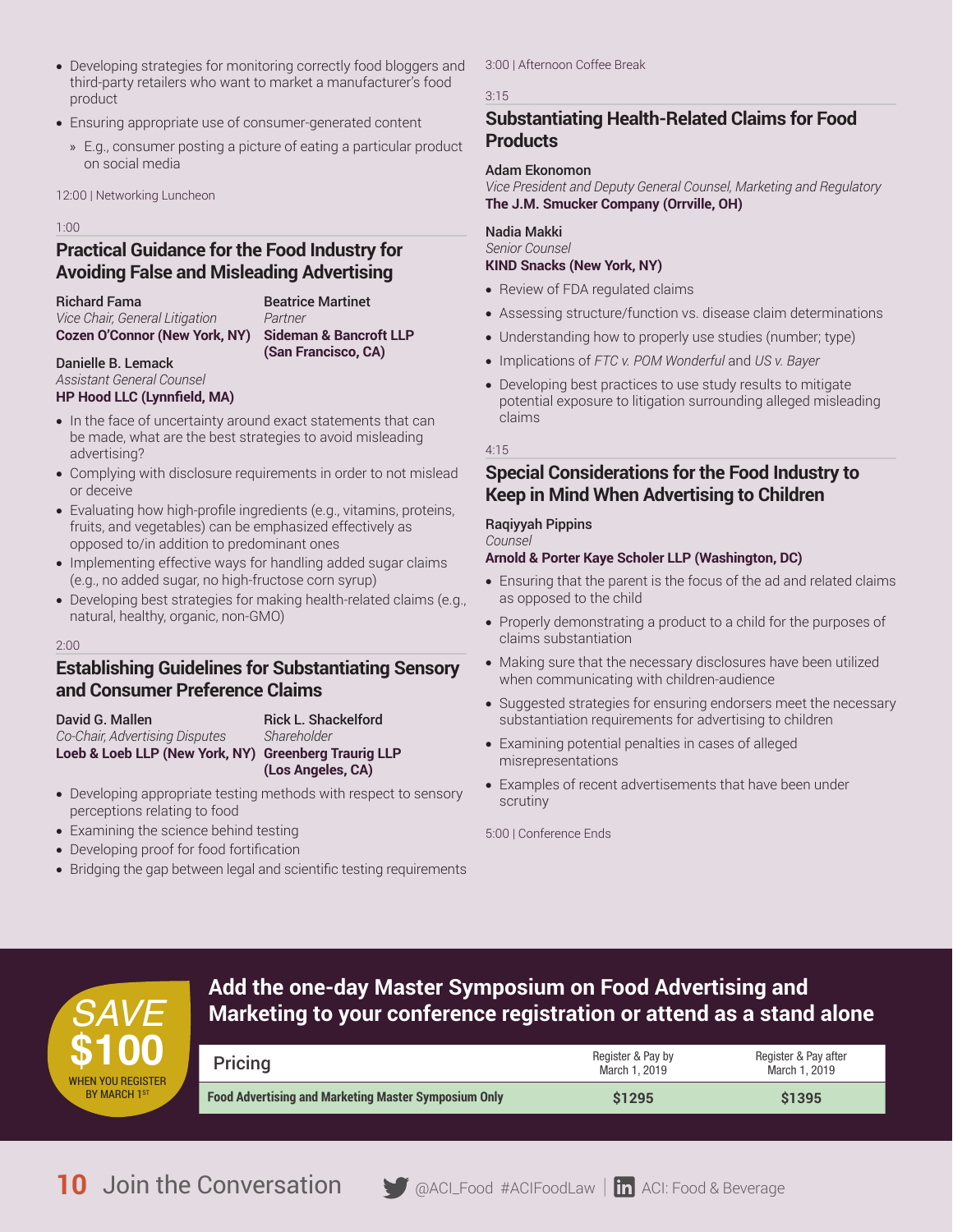- Developing strategies for monitoring correctly food bloggers and third-party retailers who want to market a manufacturer's food product
- Ensuring appropriate use of consumer-generated content
	- » E.g., consumer posting a picture of eating a particular product on social media

12:00 | Networking Luncheon

#### 1:00

## **Practical Guidance for the Food Industry for Avoiding False and Misleading Advertising**

Richard Fama

Beatrice Martinet *Partner* **Sideman & Bancroft LLP** 

**(San Francisco, CA)**

#### Danielle B. Lemack *Assistant General Counsel*  **HP Hood LLC (Lynnfield, MA)**

*Vice Chair, General Litigation* **Cozen O'Connor (New York, NY)**

- In the face of uncertainty around exact statements that can be made, what are the best strategies to avoid misleading advertising?
- Complying with disclosure requirements in order to not mislead or deceive
- Evaluating how high-profile ingredients (e.g., vitamins, proteins, fruits, and vegetables) can be emphasized effectively as opposed to/in addition to predominant ones
- Implementing effective ways for handling added sugar claims (e.g., no added sugar, no high-fructose corn syrup)
- Developing best strategies for making health-related claims (e.g., natural, healthy, organic, non-GMO)

#### 2:00

## **Establishing Guidelines for Substantiating Sensory and Consumer Preference Claims**

David G. Mallen *Co-Chair, Advertising Disputes* **Loeb & Loeb LLP (New York, NY) Greenberg Traurig LLP** 

Rick L. Shackelford *Shareholder* **(Los Angeles, CA)**

- Developing appropriate testing methods with respect to sensory perceptions relating to food
- Examining the science behind testing
- Developing proof for food fortification
- Bridging the gap between legal and scientific testing requirements

## 3:00 | Afternoon Coffee Break

#### 3:15

## **Substantiating Health-Related Claims for Food Products**

#### Adam Ekonomon

*Vice President and Deputy General Counsel, Marketing and Regulatory* **The J.M. Smucker Company (Orrville, OH)** 

### Nadia Makki

#### *Senior Counsel*  **KIND Snacks (New York, NY)**

- Review of FDA regulated claims
- Assessing structure/function vs. disease claim determinations
- Understanding how to properly use studies (number; type)
- Implications of *FTC v. POM Wonderful* and *US v. Bayer*
- Developing best practices to use study results to mitigate potential exposure to litigation surrounding alleged misleading claims

4:15

## **Special Considerations for the Food Industry to Keep in Mind When Advertising to Children**

## Raqiyyah Pippins

*Counsel*

### **Arnold & Porter Kaye Scholer LLP (Washington, DC)**

- Ensuring that the parent is the focus of the ad and related claims as opposed to the child
- Properly demonstrating a product to a child for the purposes of claims substantiation
- Making sure that the necessary disclosures have been utilized when communicating with children-audience
- Suggested strategies for ensuring endorsers meet the necessary substantiation requirements for advertising to children
- Examining potential penalties in cases of alleged misrepresentations
- Examples of recent advertisements that have been under scrutiny

5:00 | Conference Ends



# **Add the one-day Master Symposium on Food Advertising and**  *SAVE* **Marketing to your conference registration or attend as a stand alone**

| Pricing                                                     | Register & Pay by<br>March 1, 2019 | Register & Pay after<br>March 1, 2019 |
|-------------------------------------------------------------|------------------------------------|---------------------------------------|
| <b>Food Advertising and Marketing Master Symposium Only</b> | \$1295                             | \$1395                                |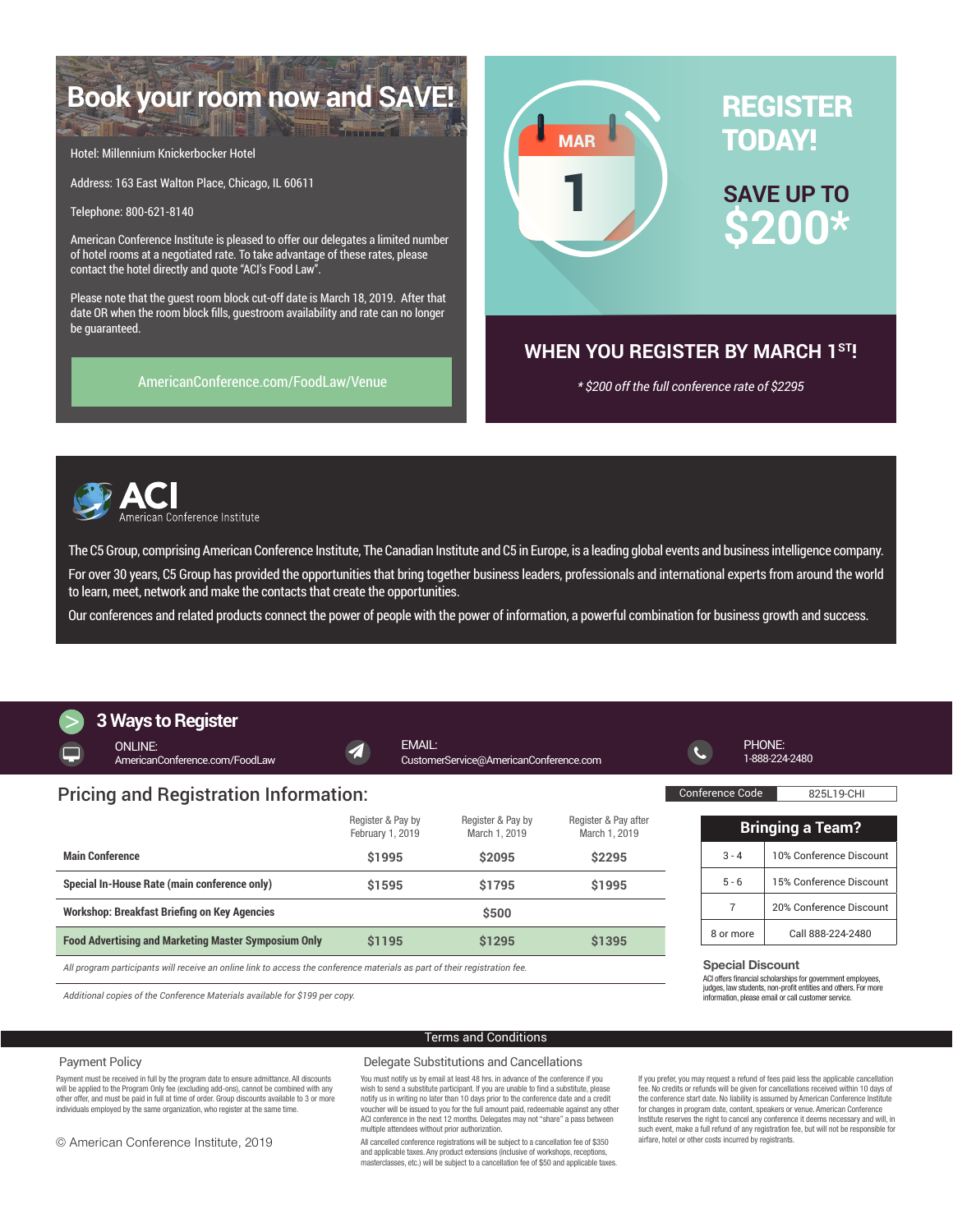# **Book your room now and SAVE!**

Hotel: Millennium Knickerbocker Hotel

Address: 163 East Walton Place, Chicago, IL 60611

Telephone: 800-621-8140

American Conference Institute is pleased to offer our delegates a limited number of hotel rooms at a negotiated rate. To take advantage of these rates, please contact the hotel directly and quote "ACI's Food Law".

Please note that the guest room block cut-off date is March 18, 2019. After that date OR when the room block fills, guestroom availability and rate can no longer be guaranteed.

[AmericanConference.com/FoodLaw/Venue](https://www.americanconference.com/food-law/venue/)



## **WHEN YOU REGISTER BY MARCH 1ST!**

*\* \$200 off the full conference rate of \$2295*



The C5 Group, comprising American Conference Institute, The Canadian Institute and C5 in Europe, is a leading global events and business intelligence company.

For over 30 years, C5 Group has provided the opportunities that bring together business leaders, professionals and international experts from around the world to learn, meet, network and make the contacts that create the opportunities.

Our conferences and related products connect the power of people with the power of information, a powerful combination for business growth and success.

# **3 Ways to Register**

Special Discount **Bringing a Team?** 3 - 4 10% Conference Discount 5 - 6 15% Conference Discount 7 20% Conference Discount 8 or more Call 888-224-2480 ONLINE: [AmericanConference.com/FoodLaw](http://www.AmericanConference.com/FoodLaw) EMAIL: [CustomerService@AmericanConference.com](mailto:CustomerService%40AmericanConference.com?subject=) PHONE: 1-888-224-2480 Conference Code 825L19-CHI Register & Pay by February 1, 2019 Register & Pay by March 1, 2019 Register & Pay after March 1, 2019 **Main Conference \$1995 \$2095 \$2295 Special In-House Rate (main conference only) \$1595 \$1795 \$1995 Workshop: Breakfast Briefing on Key Agencies \$500 Food Advertising and Marketing Master Symposium Only \$1195 \$1295 \$1395** Pricing and Registration Information:

*All program participants will receive an online link to access the conference materials as part of their registration fee.*

*Additional copies of the Conference Materials available for \$199 per copy.*

Payment must be received in full by the program date to ensure admittance. All discounts will be applied to the Program Only fee (excluding add-ons), cannot be combined with any other offer, and must be paid in full at time of order. Group discounts available to 3 or more individuals employed by the same organization, who register at the same time.

#### Terms and Conditions

#### Delegate Substitutions and Cancellations

You must notify us by email at least 48 hrs. in advance of the conference if you wish to send a substitute participant. If you are unable to find a substitute, please notify us in writing no later than 10 days prior to the conference date and a credit voucher will be issued to you for the full amount paid, redeemable against any other ACI conference in the next 12 months. Delegates may not "share" a pass between multiple attendees without prior authorization.

All cancelled conference registrations will be subject to a cancellation fee of \$350 and applicable taxes. Any product extensions (inclusive of workshops, receptions masterclasses, etc.) will be subject to a cancellation fee of \$50 and applicable taxes. If you prefer, you may request a refund of fees paid less the applicable cancellation fee. No credits or refunds will be given for cancellations received within 10 days of the conference start date. No liability is assumed by American Conference Institute for changes in program date, content, speakers or venue. American Conference Institute reserves the right to cancel any conference it deems necessary and will, in such event, make a full refund of any registration fee, but will not be responsible for airfare, hotel or other costs incurred by registrants.

ACI offers financial scholarships for government employees, judges, law students, non-profit entities and others. For more information, please email or call customer service.

© American Conference Institute, 2019

Payment Policy